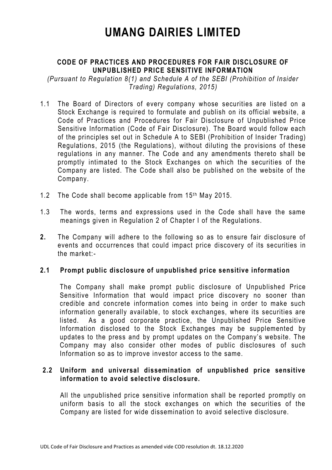# **UMANG DAIRIES LIMITED**

# **CODE OF PRACTICES AND PROCEDURES FOR FAIR DISCLOSURE OF UNPUBLISHED PRICE SENSITIVE INFORMATION**

*(Pursuant to Regulation 8(1) and Schedule A of the SEBI (Prohibition of Insider Trading) Regulations, 2015)*

- 1.1 The Board of Directors of every company whose securities are listed on a Stock Exchange is required to formulate and publish on its official website, a Code of Practices and Procedures for Fair Disclosure of Unpublished Price Sensitive Information (Code of Fair Disclosure). The Board would follow each of the principles set out in Schedule A to SEBI (Prohibition of Insider Trading) Regulations, 2015 (the Regulations), without diluting the provisions of these regulations in any manner. The Code and any amendments thereto shall be promptly intimated to the Stock Exchanges on which the securities of the Company are listed. The Code shall also be published on the website of the Company.
- 1.2 The Code shall become applicable from 15th May 2015.
- 1.3 The words, terms and expressions used in the Code shall have the same meanings given in Regulation 2 of Chapter I of the Regulations.
- **2.** The Company will adhere to the following so as to ensure fair disclosure of events and occurrences that could impact price discovery of its securities in the market:-

#### **2.1 Prompt public disclosure of unpublished price sensitive information**

The Company shall make prompt public disclosure of Unpublished Price Sensitive Information that would impact price discovery no sooner than credible and concrete information comes into being in order to make such information generally available, to stock exchanges, where its securities are listed. As a good corporate practice, the Unpublished Price Sensitive Information disclosed to the Stock Exchanges may be supplemented by updates to the press and by prompt updates on the Company's website. The Company may also consider other modes of public disclosures of such Information so as to improve investor access to the same.

#### **2.2 Uniform and universal dissemination of unpublished price sensitive information to avoid selective disclosure.**

All the unpublished price sensitive information shall be reported promptly on uniform basis to all the stock exchanges on which the securities of the Company are listed for wide dissemination to avoid selective disclosure.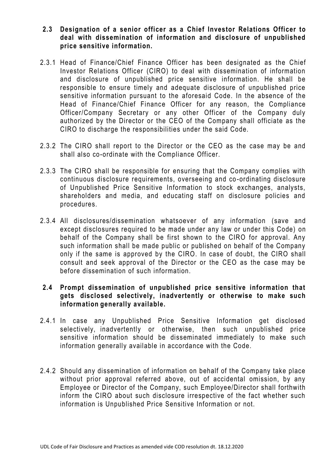- **2.3 Designation of a senior officer as a Chief Investor Relations Officer to deal with dissemination of information and disclosure of unpublished price sensitive information.**
- 2.3.1 Head of Finance/Chief Finance Officer has been designated as the Chief Investor Relations Officer (CIRO) to deal with dissemination of information and disclosure of unpublished price sensitive information. He shall be responsible to ensure timely and adequate disclosure of unpublished price sensitive information pursuant to the aforesaid Code. In the absence of the Head of Finance/Chief Finance Officer for any reason, the Compliance Officer/Company Secretary or any other Officer of the Company duly authorized by the Director or the CEO of the Company shall officiate as the CIRO to discharge the responsibilities under the said Code.
- 2.3.2 The CIRO shall report to the Director or the CEO as the case may be and shall also co-ordinate with the Compliance Officer.
- 2.3.3 The CIRO shall be responsible for ensuring that the Company complies with continuous disclosure requirements, overseeing and co -ordinating disclosure of Unpublished Price Sensitive Information to stock exchanges, analysts, shareholders and media, and educating staff on disclosure policies and procedures.
- 2.3.4 All disclosures/dissemination whatsoever of any information (save and except disclosures required to be made under any law or under this Code) on behalf of the Company shall be first shown to the CIRO for approval. Any such information shall be made public or published on behalf of the Company only if the same is approved by the CIRO. In case of doubt, the CIRO shall consult and seek approval of the Director or the CEO as the case may be before dissemination of such information.

# **2.4 Prompt dissemination of unpublished price sensitive information that gets disclosed selectively, inadvertently or otherwise to make such information generally available.**

- 2.4.1 In case any Unpublished Price Sensitive Information get disclosed selectively, inadvertently or otherwise, then such unpublished price sensitive information should be disseminated immediately to make such information generally available in accordance with the Code.
- 2.4.2 Should any dissemination of information on behalf of the Company take place without prior approval referred above, out of accidental omission, by any Employee or Director of the Company, such Employee/Director shall forthwith inform the CIRO about such disclosure irrespective of the fact whether such information is Unpublished Price Sensitive Information or not.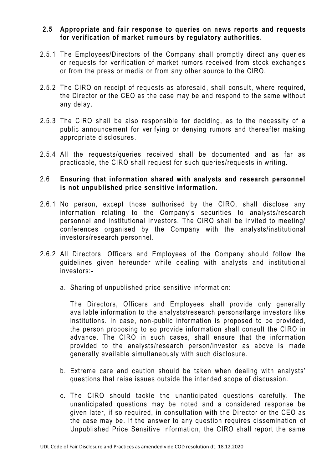#### **2.5 Appropriate and fair response to queries on news reports and requests for verification of market rumours by regulatory authorities.**

- 2.5.1 The Employees/Directors of the Company shall promptly direct any queries or requests for verification of market rumors received from stock exchange s or from the press or media or from any other source to the CIRO.
- 2.5.2 The CIRO on receipt of requests as aforesaid, shall consult, where required, the Director or the CEO as the case may be and respond to the same without any delay.
- 2.5.3 The CIRO shall be also responsible for deciding, as to the necessity of a public announcement for verifying or denying rumors and thereafter making appropriate disclosures.
- 2.5.4 All the requests/queries received shall be documented and as far as practicable, the CIRO shall request for such queries/requests in writing.

#### 2.6 **Ensuring that information shared with analysts and research personnel is not unpublished price sensitive information.**

- 2.6.1 No person, except those authorised by the CIRO, shall disclose any information relating to the Company's securities to analysts/research personnel and institutional investors. The CIRO shall be invited to meeting/ conferences organised by the Company with the analysts/institutional investors/research personnel.
- 2.6.2 All Directors, Officers and Employees of the Company should follow the guidelines given hereunder while dealing with analysts and institution al investors:
	- a. Sharing of unpublished price sensitive information:

The Directors, Officers and Employees shall provide only generally available information to the analysts/research persons/large investors like institutions. In case, non-public information is proposed to be provided, the person proposing to so provide information shall consult the CIRO in advance. The CIRO in such cases, shall ensure that the information provided to the analysts/research person/investor as above is made generally available simultaneously with such disclosure.

- b. Extreme care and caution should be taken when dealing with analysts' questions that raise issues outside the intended scope of discussion.
- c. The CIRO should tackle the unanticipated questions carefully. The unanticipated questions may be noted and a considered response be given later, if so required, in consultation with the Director or the CEO as the case may be. If the answer to any question requires dissemination of Unpublished Price Sensitive Information, the CIRO shall report the same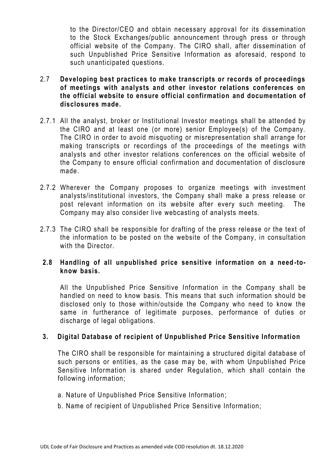to the Director/CEO and obtain necessary approval for its dissemination to the Stock Exchanges/public announcement through press or through official website of the Company. The CIRO shall, after dissemination of such Unpublished Price Sensitive Information as aforesaid, respond to such unanticipated questions.

- 2.7 **Developing best practices to make transcripts or records of proceedings of meetings with analysts and other investor relations conferences on the official website to ensure official confirmation and documentation of disclosures made.**
- 2.7.1 All the analyst, broker or Institutional Investor meetings shall be attended by the CIRO and at least one (or more) senior Employee(s) of the Company. The CIRO in order to avoid misquoting or misrepresentation shall arrange for making transcripts or recordings of the proceedings of the meetings with analysts and other investor relations conferences on the official website of the Company to ensure official confirmation and documentation of disclosure made.
- 2.7.2 Wherever the Company proposes to organize meetings with investment analysts/institutional investors, the Company shall make a press release or post relevant information on its website after every such meeting. The Company may also consider live webcasting of analysts meets.
- 2.7.3 The CIRO shall be responsible for drafting of the press release or the text of the information to be posted on the website of the Company, in consultation with the Director

# **2.8 Handling of all unpublished price sensitive information on a need -toknow basis.**

All the Unpublished Price Sensitive Information in the Company shall be handled on need to know basis. This means that such information should be disclosed only to those within/outside the Company who need to know the same in furtherance of legitimate purposes, performance of duties or discharge of legal obligations.

# **3. Digital Database of recipient of Unpublished Price Sensitive Information**

The CIRO shall be responsible for maintaining a structured digital database of such persons or entities, as the case may be, with whom Unpublished Price Sensitive Information is shared under Regulation, which shall contain the following information;

- a. Nature of Unpublished Price Sensitive Information;
- b. Name of recipient of Unpublished Price Sensitive Information;